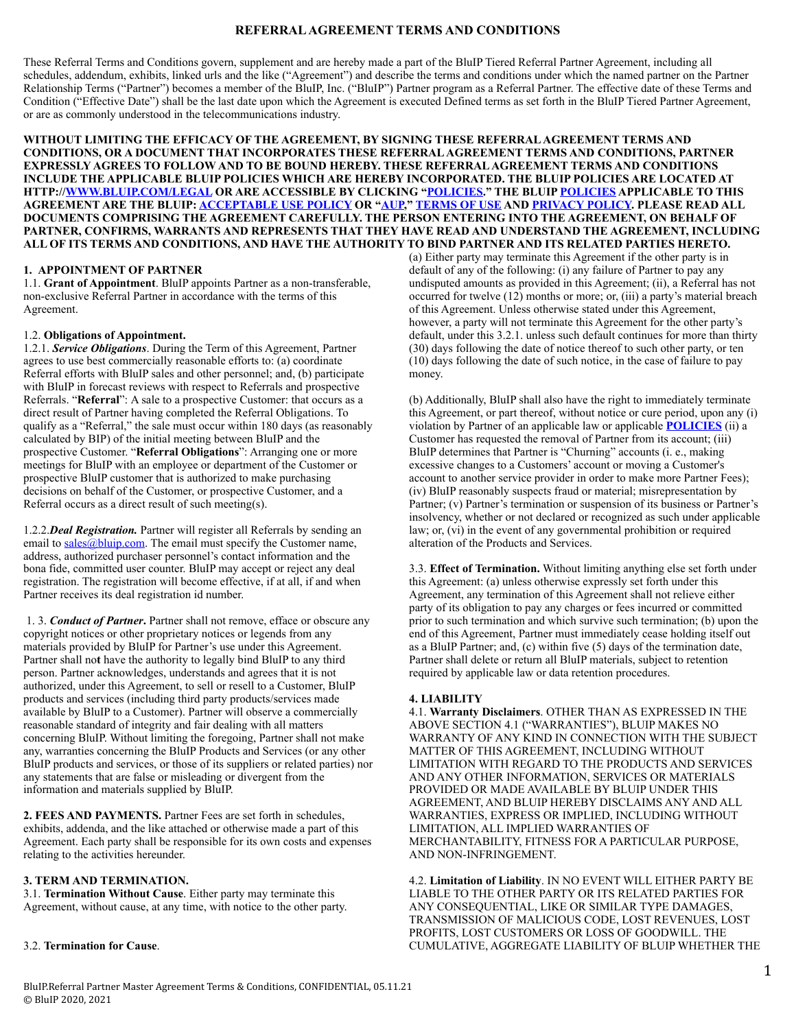# **REFERRAL AGREEMENT TERMS AND CONDITIONS**

These Referral Terms and Conditions govern, supplement and are hereby made a part of the BluIP Tiered Referral Partner Agreement, including all schedules, addendum, exhibits, linked urls and the like ("Agreement") and describe the terms and conditions under which the named partner on the Partner Relationship Terms ("Partner") becomes a member of the BluIP, Inc. ("BluIP") Partner program as a Referral Partner. The effective date of these Terms and Condition ("Effective Date") shall be the last date upon which the Agreement is executed Defined terms as set forth in the BluIP Tiered Partner Agreement, or are as commonly understood in the telecommunications industry.

**WITHOUT LIMITING THE EFFICACY OF THE AGREEMENT, BY SIGNING THESE REFERRAL AGREEMENT TERMS AND CONDITIONS, OR A DOCUMENT THAT INCORPORATES THESE REFERRAL AGREEMENT TERMS AND CONDITIONS, PARTNER EXPRESSLY AGREES TO FOLLOW AND TO BE BOUND HEREBY. THESE REFERRAL AGREEMENT TERMS AND CONDITIONS INCLUDE THE APPLICABLE BLUIP POLICIES WHICH ARE HEREBY INCORPORATED. THE BLUIP POLICIES ARE LOCATED AT HTTP:/[/WWW.BLUIP.COM/LEGAL](http://www.bluip.com/legal) OR ARE ACCESSIBLE BY CLICKING "[POLICIES.](http://www.bluip.com/legal)" THE BLUIP [POLICIES](http://www.bluip.com/legal) APPLICABLE TO THIS AGREEMENT ARE THE BLUIP: [ACCEPTABLE USE POLICY](http://www.bluip.com/legal) OR ["AUP,](http://www.bluip.com/legal)" [TERMS OF USE](http://www.bluip.com/legal) AND [PRIVACY POLICY.](http://www.bluip.com/legal) PLEASE READ ALL DOCUMENTS COMPRISING THE AGREEMENT CAREFULLY. THE PERSON ENTERING INTO THE AGREEMENT, ON BEHALF OF PARTNER, CONFIRMS, WARRANTS AND REPRESENTS THAT THEY HAVE READ AND UNDERSTAND THE AGREEMENT, INCLUDING ALL OF ITS TERMS AND CONDITIONS, AND HAVE THE AUTHORITY TO BIND PARTNER AND ITS RELATED PARTIES HERETO.** 

## **1. APPOINTMENT OF PARTNER**

1.1. **Grant of Appointment**. BluIP appoints Partner as a non-transferable, non-exclusive Referral Partner in accordance with the terms of this Agreement.

## 1.2. **Obligations of Appointment.**

1.2.1. *Service Obligations*. During the Term of this Agreement, Partner agrees to use best commercially reasonable efforts to: (a) coordinate Referral efforts with BluIP sales and other personnel; and, (b) participate with BluIP in forecast reviews with respect to Referrals and prospective Referrals. "**Referral**": A sale to a prospective Customer: that occurs as a direct result of Partner having completed the Referral Obligations. To qualify as a "Referral," the sale must occur within 180 days (as reasonably calculated by BIP) of the initial meeting between BluIP and the prospective Customer. "**Referral Obligations**": Arranging one or more meetings for BluIP with an employee or department of the Customer or prospective BluIP customer that is authorized to make purchasing decisions on behalf of the Customer, or prospective Customer, and a Referral occurs as a direct result of such meeting(s).

1.2.2.*Deal Registration.* Partner will register all Referrals by sending an email to [sales@bluip.com.](mailto:sales@bluip.com) The email must specify the Customer name, address, authorized purchaser personnel's contact information and the bona fide, committed user counter. BluIP may accept or reject any deal registration. The registration will become effective, if at all, if and when Partner receives its deal registration id number.

 1. 3. *Conduct of Partner***.** Partner shall not remove, efface or obscure any copyright notices or other proprietary notices or legends from any materials provided by BluIP for Partner's use under this Agreement. Partner shall no**t** have the authority to legally bind BluIP to any third person. Partner acknowledges, understands and agrees that it is not authorized, under this Agreement, to sell or resell to a Customer, BluIP products and services (including third party products/services made available by BluIP to a Customer). Partner will observe a commercially reasonable standard of integrity and fair dealing with all matters concerning BluIP. Without limiting the foregoing, Partner shall not make any, warranties concerning the BluIP Products and Services (or any other BluIP products and services, or those of its suppliers or related parties) nor any statements that are false or misleading or divergent from the information and materials supplied by BluIP.

**2. FEES AND PAYMENTS.** Partner Fees are set forth in schedules, exhibits, addenda, and the like attached or otherwise made a part of this Agreement. Each party shall be responsible for its own costs and expenses relating to the activities hereunder.

### **3. TERM AND TERMINATION.**

3.1. **Termination Without Cause**. Either party may terminate this Agreement, without cause, at any time, with notice to the other party.

#### 3.2. **Termination for Cause**.

(a) Either party may terminate this Agreement if the other party is in default of any of the following: (i) any failure of Partner to pay any undisputed amounts as provided in this Agreement; (ii), a Referral has not occurred for twelve (12) months or more; or, (iii) a party's material breach of this Agreement. Unless otherwise stated under this Agreement, however, a party will not terminate this Agreement for the other party's default, under this 3.2.1. unless such default continues for more than thirty (30) days following the date of notice thereof to such other party, or ten (10) days following the date of such notice, in the case of failure to pay money.

(b) Additionally, BluIP shall also have the right to immediately terminate this Agreement, or part thereof, without notice or cure period, upon any (i) violation by Partner of an applicable law or applicable **[POLICIES](http://www.bluip.com/legal)** (ii) a Customer has requested the removal of Partner from its account; (iii) BluIP determines that Partner is "Churning" accounts (i. e., making excessive changes to a Customers' account or moving a Customer's account to another service provider in order to make more Partner Fees); (iv) BluIP reasonably suspects fraud or material; misrepresentation by Partner; (v) Partner's termination or suspension of its business or Partner's insolvency, whether or not declared or recognized as such under applicable law; or, (vi) in the event of any governmental prohibition or required alteration of the Products and Services.

3.3. **Effect of Termination.** Without limiting anything else set forth under this Agreement: (a) unless otherwise expressly set forth under this Agreement, any termination of this Agreement shall not relieve either party of its obligation to pay any charges or fees incurred or committed prior to such termination and which survive such termination; (b) upon the end of this Agreement, Partner must immediately cease holding itself out as a BluIP Partner; and, (c) within five (5) days of the termination date, Partner shall delete or return all BluIP materials, subject to retention required by applicable law or data retention procedures.

### **4. LIABILITY**

4.1. **Warranty Disclaimers**. OTHER THAN AS EXPRESSED IN THE ABOVE SECTION 4.1 ("WARRANTIES"), BLUIP MAKES NO WARRANTY OF ANY KIND IN CONNECTION WITH THE SUBJECT MATTER OF THIS AGREEMENT, INCLUDING WITHOUT LIMITATION WITH REGARD TO THE PRODUCTS AND SERVICES AND ANY OTHER INFORMATION, SERVICES OR MATERIALS PROVIDED OR MADE AVAILABLE BY BLUIP UNDER THIS AGREEMENT, AND BLUIP HEREBY DISCLAIMS ANY AND ALL WARRANTIES, EXPRESS OR IMPLIED, INCLUDING WITHOUT LIMITATION, ALL IMPLIED WARRANTIES OF MERCHANTABILITY, FITNESS FOR A PARTICULAR PURPOSE, AND NON-INFRINGEMENT.

4.2. **Limitation of Liability**. IN NO EVENT WILL EITHER PARTY BE LIABLE TO THE OTHER PARTY OR ITS RELATED PARTIES FOR ANY CONSEQUENTIAL, LIKE OR SIMILAR TYPE DAMAGES, TRANSMISSION OF MALICIOUS CODE, LOST REVENUES, LOST PROFITS, LOST CUSTOMERS OR LOSS OF GOODWILL. THE CUMULATIVE, AGGREGATE LIABILITY OF BLUIP WHETHER THE